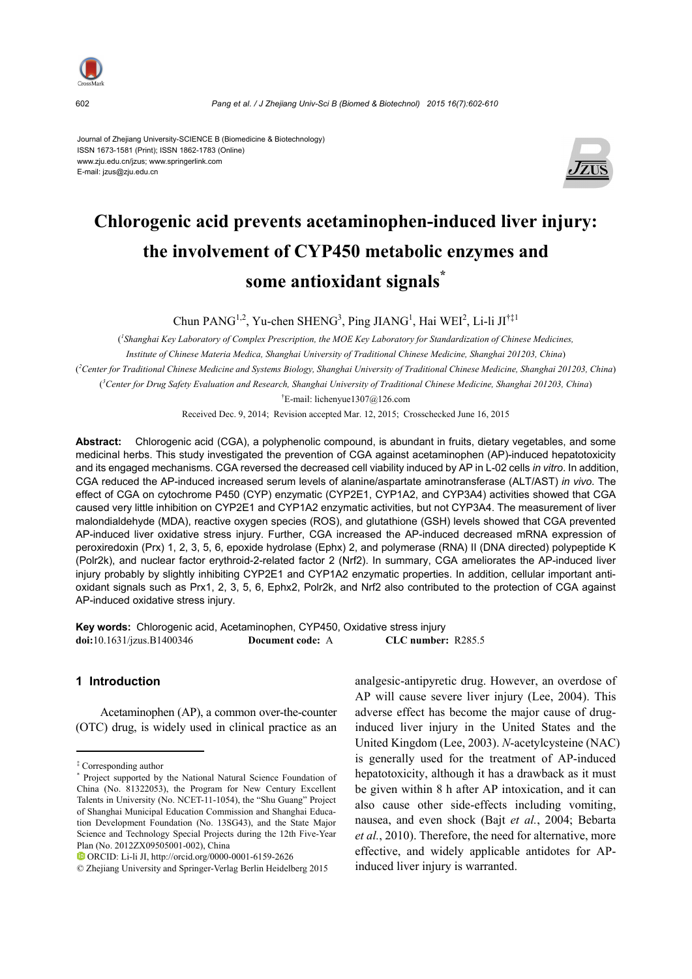

602 *Pang et al. / J Zhejiang Univ-Sci B (Biomed & Biotechnol) 2015 16(7):602-610*

Journal of Zhejiang University-SCIENCE B (Biomedicine & Biotechnology) ISSN 1673-1581 (Print); ISSN 1862-1783 (Online) www.zju.edu.cn/jzus; www.springerlink.com E-mail: jzus@zju.edu.cn



# **Chlorogenic acid prevents acetaminophen-induced liver injury: the involvement of CYP450 metabolic enzymes and some antioxidant signals\***

Chun PANG<sup>1,2</sup>, Yu-chen SHENG<sup>3</sup>, Ping JIANG<sup>1</sup>, Hai WEI<sup>2</sup>, Li-li JI<sup>†‡1</sup>

<sup>*l*</sup> Shanghai Key Laboratory of Complex Prescription, the MOE Key Laboratory for Standardization of Chinese Medicines, *Institute of Chinese Materia Medica, Shanghai University of Traditional Chinese Medicine, Shanghai 201203, China*) ( *2 Center for Traditional Chinese Medicine and Systems Biology, Shanghai University of Traditional Chinese Medicine, Shanghai 201203, China*) ( *3 Center for Drug Safety Evaluation and Research, Shanghai University of Traditional Chinese Medicine, Shanghai 201203, China*)

† E-mail: lichenyue1307@126.com

Received Dec. 9, 2014; Revision accepted Mar. 12, 2015; Crosschecked June 16, 2015

**Abstract:** Chlorogenic acid (CGA), a polyphenolic compound, is abundant in fruits, dietary vegetables, and some medicinal herbs. This study investigated the prevention of CGA against acetaminophen (AP)-induced hepatotoxicity and its engaged mechanisms. CGA reversed the decreased cell viability induced by AP in L-02 cells *in vitro*. In addition, CGA reduced the AP-induced increased serum levels of alanine/aspartate aminotransferase (ALT/AST) *in vivo*. The effect of CGA on cytochrome P450 (CYP) enzymatic (CYP2E1, CYP1A2, and CYP3A4) activities showed that CGA caused very little inhibition on CYP2E1 and CYP1A2 enzymatic activities, but not CYP3A4. The measurement of liver malondialdehyde (MDA), reactive oxygen species (ROS), and glutathione (GSH) levels showed that CGA prevented AP-induced liver oxidative stress injury. Further, CGA increased the AP-induced decreased mRNA expression of peroxiredoxin (Prx) 1, 2, 3, 5, 6, epoxide hydrolase (Ephx) 2, and polymerase (RNA) II (DNA directed) polypeptide K (Polr2k), and nuclear factor erythroid-2-related factor 2 (Nrf2). In summary, CGA ameliorates the AP-induced liver injury probably by slightly inhibiting CYP2E1 and CYP1A2 enzymatic properties. In addition, cellular important antioxidant signals such as Prx1, 2, 3, 5, 6, Ephx2, Polr2k, and Nrf2 also contributed to the protection of CGA against AP-induced oxidative stress injury.

**Key words:** Chlorogenic acid, Acetaminophen, CYP450, Oxidative stress injury **doi:**10.1631/jzus.B1400346 **Document code:** A **CLC number:** R285.5

# **1 Introduction**

Acetaminophen (AP), a common over-the-counter (OTC) drug, is widely used in clinical practice as an analgesic-antipyretic drug. However, an overdose of AP will cause severe liver injury (Lee, 2004). This adverse effect has become the major cause of druginduced liver injury in the United States and the United Kingdom (Lee, 2003). *N*-acetylcysteine (NAC) is generally used for the treatment of AP-induced hepatotoxicity, although it has a drawback as it must be given within 8 h after AP intoxication, and it can also cause other side-effects including vomiting, nausea, and even shock (Bajt *et al.*, 2004; Bebarta *et al.*, 2010). Therefore, the need for alternative, more effective, and widely applicable antidotes for APinduced liver injury is warranted.

<sup>‡</sup> Corresponding author

<sup>\*</sup> Project supported by the National Natural Science Foundation of China (No. 81322053), the Program for New Century Excellent Talents in University (No. NCET-11-1054), the "Shu Guang" Project of Shanghai Municipal Education Commission and Shanghai Education Development Foundation (No. 13SG43), and the State Major Science and Technology Special Projects during the 12th Five-Year Plan (No. 2012ZX09505001-002), China

ORCID: Li-li JI, http://orcid.org/0000-0001-6159-2626

<sup>©</sup> Zhejiang University and Springer-Verlag Berlin Heidelberg 2015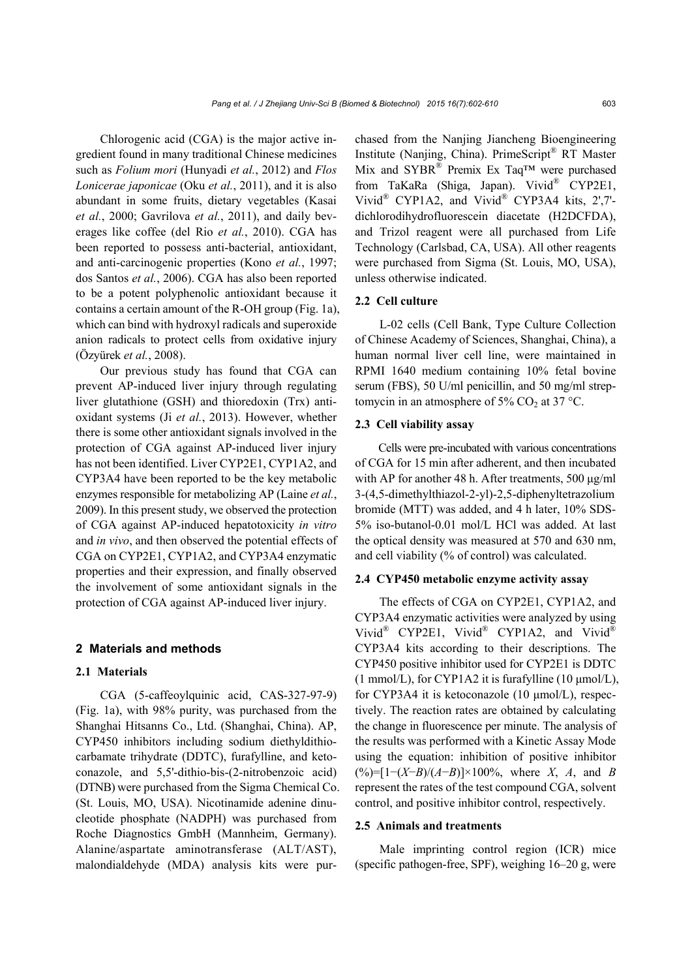Chlorogenic acid (CGA) is the major active ingredient found in many traditional Chinese medicines such as *Folium mori* (Hunyadi *et al.*, 2012) and *Flos Lonicerae japonicae* (Oku *et al.*, 2011), and it is also abundant in some fruits, dietary vegetables (Kasai *et al.*, 2000; Gavrilova *et al.*, 2011), and daily beverages like coffee (del Rio *et al.*, 2010). CGA has been reported to possess anti-bacterial, antioxidant, and anti-carcinogenic properties (Kono *et al.*, 1997; dos Santos *et al.*, 2006). CGA has also been reported to be a potent polyphenolic antioxidant because it contains a certain amount of the R-OH group (Fig. 1a), which can bind with hydroxyl radicals and superoxide anion radicals to protect cells from oxidative injury (Özyürek *et al.*, 2008).

Our previous study has found that CGA can prevent AP-induced liver injury through regulating liver glutathione (GSH) and thioredoxin (Trx) antioxidant systems (Ji *et al.*, 2013). However, whether there is some other antioxidant signals involved in the protection of CGA against AP-induced liver injury has not been identified. Liver CYP2E1, CYP1A2, and CYP3A4 have been reported to be the key metabolic enzymes responsible for metabolizing AP (Laine *et al.*, 2009). In this present study, we observed the protection of CGA against AP-induced hepatotoxicity *in vitro* and *in vivo*, and then observed the potential effects of CGA on CYP2E1, CYP1A2, and CYP3A4 enzymatic properties and their expression, and finally observed the involvement of some antioxidant signals in the protection of CGA against AP-induced liver injury.

#### **2 Materials and methods**

#### **2.1 Materials**

CGA (5-caffeoylquinic acid, CAS-327-97-9) (Fig. 1a), with 98% purity, was purchased from the Shanghai Hitsanns Co., Ltd. (Shanghai, China). AP, CYP450 inhibitors including sodium diethyldithiocarbamate trihydrate (DDTC), furafylline, and ketoconazole, and 5,5'-dithio-bis-(2-nitrobenzoic acid) (DTNB) were purchased from the Sigma Chemical Co. (St. Louis, MO, USA). Nicotinamide adenine dinucleotide phosphate (NADPH) was purchased from Roche Diagnostics GmbH (Mannheim, Germany). Alanine/aspartate aminotransferase (ALT/AST), malondialdehyde (MDA) analysis kits were purchased from the Nanjing Jiancheng Bioengineering Institute (Nanjing, China). PrimeScript® RT Master Mix and SYBR® Premix Ex Taq™ were purchased from TaKaRa (Shiga, Japan). Vivid® CYP2E1, Vivid® CYP1A2, and Vivid® CYP3A4 kits, 2',7' dichlorodihydrofluorescein diacetate (H2DCFDA), and Trizol reagent were all purchased from Life Technology (Carlsbad, CA, USA). All other reagents were purchased from Sigma (St. Louis, MO, USA), unless otherwise indicated.

#### **2.2 Cell culture**

L-02 cells (Cell Bank, Type Culture Collection of Chinese Academy of Sciences, Shanghai, China), a human normal liver cell line, were maintained in RPMI 1640 medium containing 10% fetal bovine serum (FBS), 50 U/ml penicillin, and 50 mg/ml streptomycin in an atmosphere of 5%  $CO<sub>2</sub>$  at 37 °C.

#### **2.3 Cell viability assay**

Cells were pre-incubated with various concentrations of CGA for 15 min after adherent, and then incubated with AP for another 48 h. After treatments, 500 μg/ml 3-(4,5-dimethylthiazol-2-yl)-2,5-diphenyltetrazolium bromide (MTT) was added, and 4 h later, 10% SDS-5% iso-butanol-0.01 mol/L HCl was added. At last the optical density was measured at 570 and 630 nm, and cell viability (% of control) was calculated.

#### **2.4 CYP450 metabolic enzyme activity assay**

The effects of CGA on CYP2E1, CYP1A2, and CYP3A4 enzymatic activities were analyzed by using Vivid<sup>®</sup> CYP2E1, Vivid<sup>®</sup> CYP1A2, and Vivid<sup>®</sup> CYP3A4 kits according to their descriptions. The CYP450 positive inhibitor used for CYP2E1 is DDTC (1 mmol/L), for CYP1A2 it is furafylline (10  $\mu$ mol/L), for CYP3A4 it is ketoconazole (10 μmol/L), respectively. The reaction rates are obtained by calculating the change in fluorescence per minute. The analysis of the results was performed with a Kinetic Assay Mode using the equation: inhibition of positive inhibitor (%)=[1−(*X*−*B*)/(*A*−*B*)]×100%, where *X*, *A*, and *B* represent the rates of the test compound CGA, solvent control, and positive inhibitor control, respectively.

#### **2.5 Animals and treatments**

Male imprinting control region (ICR) mice (specific pathogen-free, SPF), weighing 16–20 g, were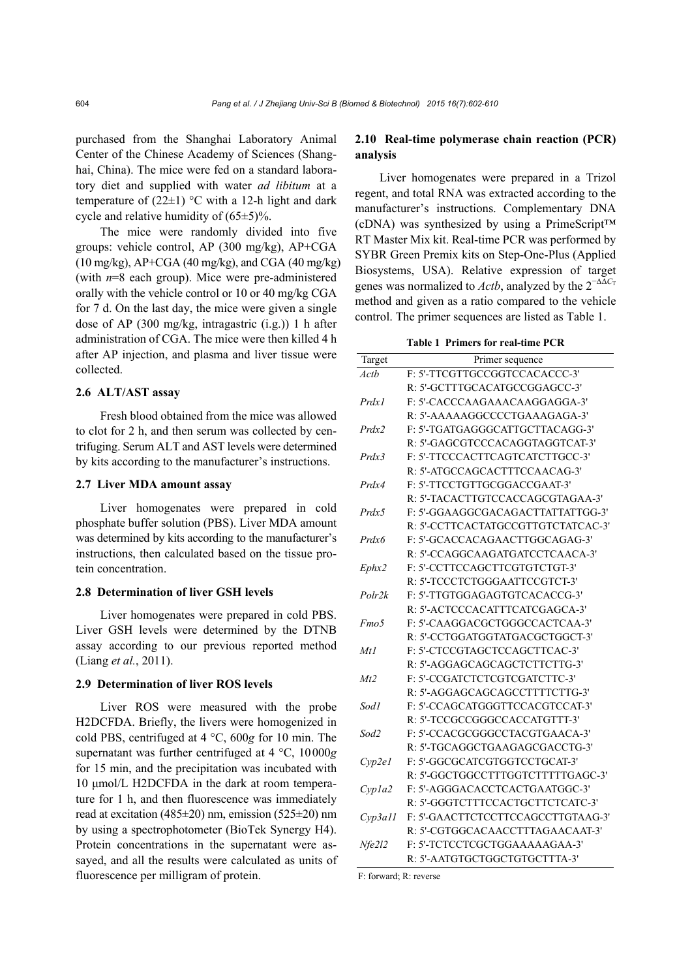purchased from the Shanghai Laboratory Animal Center of the Chinese Academy of Sciences (Shanghai, China). The mice were fed on a standard laboratory diet and supplied with water *ad libitum* at a temperature of  $(22\pm 1)$  °C with a 12-h light and dark cycle and relative humidity of  $(65\pm5)\%$ .

The mice were randomly divided into five groups: vehicle control, AP (300 mg/kg), AP+CGA  $(10 \text{ mg/kg})$ , AP+CGA  $(40 \text{ mg/kg})$ , and CGA  $(40 \text{ mg/kg})$ (with *n*=8 each group). Mice were pre-administered orally with the vehicle control or 10 or 40 mg/kg CGA for 7 d. On the last day, the mice were given a single dose of AP (300 mg/kg, intragastric (i.g.)) 1 h after administration of CGA. The mice were then killed 4 h after AP injection, and plasma and liver tissue were collected.

### **2.6 ALT/AST assay**

Fresh blood obtained from the mice was allowed to clot for 2 h, and then serum was collected by centrifuging. Serum ALT and AST levels were determined by kits according to the manufacturer's instructions.

#### **2.7 Liver MDA amount assay**

Liver homogenates were prepared in cold phosphate buffer solution (PBS). Liver MDA amount was determined by kits according to the manufacturer's instructions, then calculated based on the tissue protein concentration.

# **2.8 Determination of liver GSH levels**

Liver homogenates were prepared in cold PBS. Liver GSH levels were determined by the DTNB assay according to our previous reported method (Liang *et al.*, 2011).

## **2.9 Determination of liver ROS levels**

Liver ROS were measured with the probe H2DCFDA. Briefly, the livers were homogenized in cold PBS, centrifuged at 4 °C, 600*g* for 10 min. The supernatant was further centrifuged at 4 °C, 10000*g* for 15 min, and the precipitation was incubated with 10 μmol/L H2DCFDA in the dark at room temperature for 1 h, and then fluorescence was immediately read at excitation (485±20) nm, emission (525±20) nm by using a spectrophotometer (BioTek Synergy H4). Protein concentrations in the supernatant were assayed, and all the results were calculated as units of fluorescence per milligram of protein.

# **2.10 Real-time polymerase chain reaction (PCR) analysis**

Liver homogenates were prepared in a Trizol regent, and total RNA was extracted according to the manufacturer's instructions. Complementary DNA (cDNA) was synthesized by using a PrimeScript™ RT Master Mix kit. Real-time PCR was performed by SYBR Green Premix kits on Step-One-Plus (Applied Biosystems, USA). Relative expression of target genes was normalized to *Actb*, analyzed by the  $2^{-\Delta\Delta C_T}$ method and given as a ratio compared to the vehicle control. The primer sequences are listed as Table 1.

**Table 1 Primers for real-time PCR**

| Target  | Primer sequence                    |
|---------|------------------------------------|
| Actb    | F: 5'-TTCGTTGCCGGTCCACACCC-3'      |
|         | R: 5'-GCTTTGCACATGCCGGAGCC-3'      |
| Prdx1   | F: 5'-CACCCAAGAAACAAGGAGGA-3'      |
|         | R: 5'-AAAAAAGGCCCCTGAAAGAGA-3'     |
| Prdx2   | F: 5'-TGATGAGGGCATTGCTTACAGG-3'    |
|         | R: 5'-GAGCGTCCCACAGGTAGGTCAT-3'    |
| Prdx3   | F: 5'-TTCCCACTTCAGTCATCTTGCC-3'    |
|         | R: 5'-ATGCCAGCACTTTCCAACAG-3'      |
| Prdx4   | F: 5'-TTCCTGTTGCGGACCGAAT-3'       |
|         | R: 5'-TACACTTGTCCACCAGCGTAGAA-3'   |
| Prdx5   | F: 5'-GGAAGGCGACAGACTTATTATTGG-3'  |
|         | R: 5'-CCTTCACTATGCCGTTGTCTATCAC-3' |
| Prdx6   | F: 5'-GCACCACAGAACTTGGCAGAG-3'     |
|         | R: 5'-CCAGGCAAGATGATCCTCAACA-3'    |
| Ephx2   | F: 5'-CCTTCCAGCTTCGTGTCTGT-3'      |
|         | R: 5'-TCCCTCTGGGAATTCCGTCT-3'      |
| Polr2k  | F: 5'-TTGTGGAGAGTGTCACACCG-3'      |
|         | R: 5'-ACTCCCACATTTCATCGAGCA-3'     |
| Fmo5    | F: 5'-CAAGGACGCTGGGCCACTCAA-3'     |
|         | R: 5'-CCTGGATGGTATGACGCTGGCT-3'    |
| Mt1     | F: 5'-CTCCGTAGCTCCAGCTTCAC-3'      |
|         | R: 5'-AGGAGCAGCAGCTCTTCTTG-3'      |
| Mt2     | F: 5'-CCGATCTCTCGTCGATCTTC-3'      |
|         | R: 5'-AGGAGCAGCAGCCTTTTCTTG-3'     |
| Sod1    | F: 5'-CCAGCATGGGTTCCACGTCCAT-3'    |
|         | R: 5'-TCCGCCGGGCCACCATGTTT-3'      |
| Sod2    | F: 5'-CCACGCGGGCCTACGTGAACA-3'     |
|         | R: 5'-TGCAGGCTGAAGAGCGACCTG-3'     |
| Cyp2el  | F: 5'-GGCGCATCGTGGTCCTGCAT-3'      |
|         | R: 5'-GGCTGGCCTTTGGTCTTTTGAGC-3'   |
| Cyp1a2  | F: 5'-AGGGACACCTCACTGAATGGC-3'     |
|         | R: 5'-GGGTCTTTCCACTGCTTCTCATC-3'   |
| Cvp3a11 | F: 5'-GAACTTCTCCTTCCAGCCTTGTAAG-3' |
|         | R: 5'-CGTGGCACAACCTTTAGAACAAT-3'   |
| Nfe2l2  | F: 5'-TCTCCTCGCTGGAAAAAGAA-3'      |
|         | R: 5'-AATGTGCTGGCTGTGCTTTA-3'      |

F: forward; R: reverse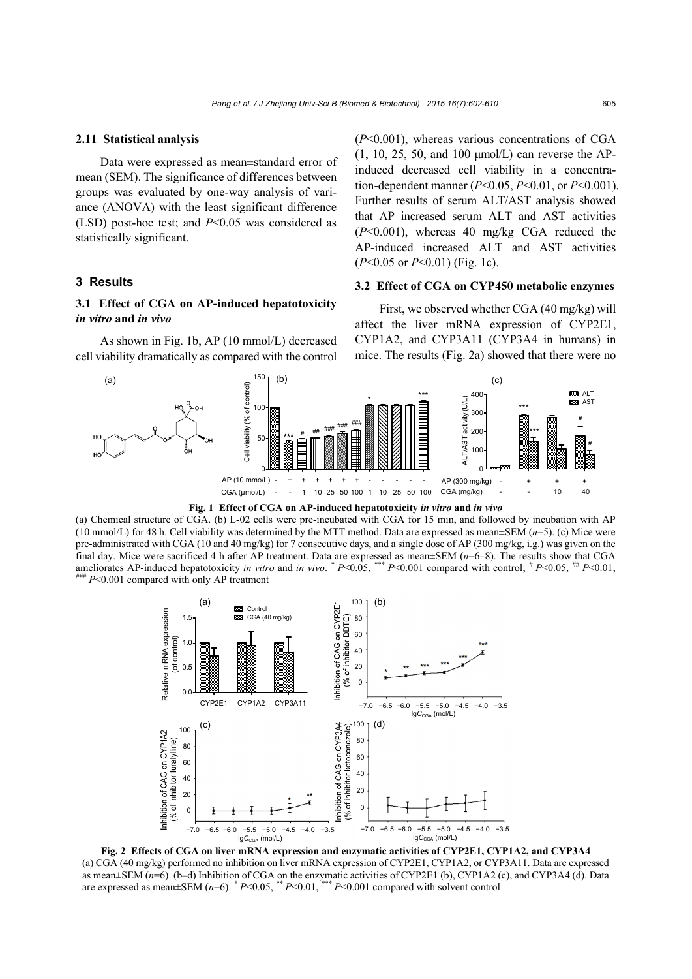#### **2.11 Statistical analysis**

Data were expressed as mean±standard error of mean (SEM). The significance of differences between groups was evaluated by one-way analysis of variance (ANOVA) with the least significant difference (LSD) post-hoc test; and *P*<0.05 was considered as statistically significant.

#### **3 Results**

# **3.1 Effect of CGA on AP-induced hepatotoxicity**  *in vitro* **and** *in vivo*

As shown in Fig. 1b, AP (10 mmol/L) decreased cell viability dramatically as compared with the control (*P*<0.001), whereas various concentrations of CGA (1, 10, 25, 50, and 100 μmol/L) can reverse the APinduced decreased cell viability in a concentration-dependent manner (*P*<0.05, *P*<0.01, or *P*<0.001). Further results of serum ALT/AST analysis showed that AP increased serum ALT and AST activities (*P*<0.001), whereas 40 mg/kg CGA reduced the AP-induced increased ALT and AST activities (*P*<0.05 or *P*<0.01) (Fig. 1c).

### **3.2 Effect of CGA on CYP450 metabolic enzymes**

First, we observed whether CGA (40 mg/kg) will affect the liver mRNA expression of CYP2E1, CYP1A2, and CYP3A11 (CYP3A4 in humans) in mice. The results (Fig. 2a) showed that there were no





(a) Chemical structure of CGA. (b) L-02 cells were pre-incubated with CGA for 15 min, and followed by incubation with AP (10 mmol/L) for 48 h. Cell viability was determined by the MTT method. Data are expressed as mean $\pm$ SEM ( $n=5$ ). (c) Mice were pre-administrated with CGA (10 and 40 mg/kg) for 7 consecutive days, and a single dose of AP (300 mg/kg, i.g.) was given on the final day. Mice were sacrificed 4 h after AP treatment. Data are expressed as mean±SEM (*n*=6–8). The results show that CGA ameliorates AP-induced hepatotoxicity *in vitro* and *in vivo.* \*  $P<0.05$ , \*\*\*  $P<0.001$  compared with control; \*  $P<0.05$ , \*\*\*  $P<0.01$ ,  $P<0.05$ , \*\*\*  $P<0.001$  compared with control; \*  $P<0.05$ , \*\*\*  $P<0.01$ ,



**Fig. 2 Effects of CGA on liver mRNA expression and enzymatic activities of CYP2E1, CYP1A2, and CYP3A4**  (a) CGA (40 mg/kg) performed no inhibition on liver mRNA expression of CYP2E1, CYP1A2, or CYP3A11. Data are expressed as mean±SEM (*n*=6). (b–d) Inhibition of CGA on the enzymatic activities of CYP2E1 (b), CYP1A2 (c), and CYP3A4 (d). Data are expressed as mean $\pm$ SEM ( $n=6$ ).  $*P<0.05$ ,  $*P<0.01$ ,  $*+P<0.001$  compared with solvent control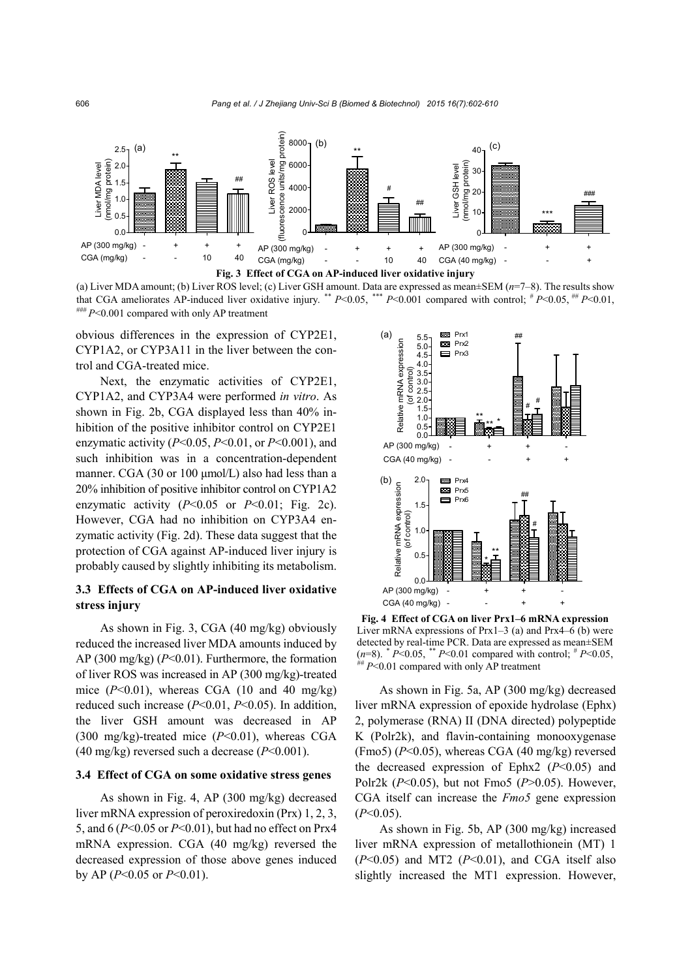



obvious differences in the expression of CYP2E1, CYP1A2, or CYP3A11 in the liver between the control and CGA-treated mice.

Next, the enzymatic activities of CYP2E1, CYP1A2, and CYP3A4 were performed *in vitro*. As shown in Fig. 2b, CGA displayed less than 40% inhibition of the positive inhibitor control on CYP2E1 enzymatic activity (*P*<0.05, *P*<0.01, or *P*<0.001), and such inhibition was in a concentration-dependent manner. CGA (30 or 100 μmol/L) also had less than a 20% inhibition of positive inhibitor control on CYP1A2 enzymatic activity  $(P<0.05$  or  $P<0.01$ ; Fig. 2c). However, CGA had no inhibition on CYP3A4 enzymatic activity (Fig. 2d). These data suggest that the protection of CGA against AP-induced liver injury is probably caused by slightly inhibiting its metabolism.

# **3.3 Effects of CGA on AP-induced liver oxidative stress injury**

As shown in Fig. 3, CGA (40 mg/kg) obviously reduced the increased liver MDA amounts induced by AP (300 mg/kg) (*P*<0.01). Furthermore, the formation of liver ROS was increased in AP (300 mg/kg)-treated mice  $(P<0.01)$ , whereas CGA (10 and 40 mg/kg) reduced such increase (*P*<0.01, *P*<0.05). In addition, the liver GSH amount was decreased in AP (300 mg/kg)-treated mice (*P*<0.01), whereas CGA (40 mg/kg) reversed such a decrease (*P*<0.001).

### **3.4 Effect of CGA on some oxidative stress genes**

As shown in Fig. 4, AP (300 mg/kg) decreased liver mRNA expression of peroxiredoxin (Prx) 1, 2, 3, 5, and 6 (*P*<0.05 or *P*<0.01), but had no effect on Prx4 mRNA expression. CGA (40 mg/kg) reversed the decreased expression of those above genes induced by AP (*P*<0.05 or *P*<0.01).



**Fig. 4 Effect of CGA on liver Prx1–6 mRNA expression** Liver mRNA expressions of Prx1–3 (a) and Prx4– $\vec{6}$  (b) were detected by real-time PCR. Data are expressed as mean±SEM  $(n=8)$ .  $* P<0.05$ ,  $* P<0.01$  compared with control;  $* P<0.05$ ,  $* P<0.01$  compared with only AP treatment

As shown in Fig. 5a, AP (300 mg/kg) decreased liver mRNA expression of epoxide hydrolase (Ephx) 2, polymerase (RNA) II (DNA directed) polypeptide K (Polr2k), and flavin-containing monooxygenase (Fmo5) (*P*<0.05), whereas CGA (40 mg/kg) reversed the decreased expression of Ephx2 (*P*<0.05) and Polr2k (*P*<0.05), but not Fmo5 (*P*>0.05). However, CGA itself can increase the *Fmo5* gene expression (*P*<0.05).

As shown in Fig. 5b, AP (300 mg/kg) increased liver mRNA expression of metallothionein (MT) 1 (*P*<0.05) and MT2 (*P*<0.01), and CGA itself also slightly increased the MT1 expression. However,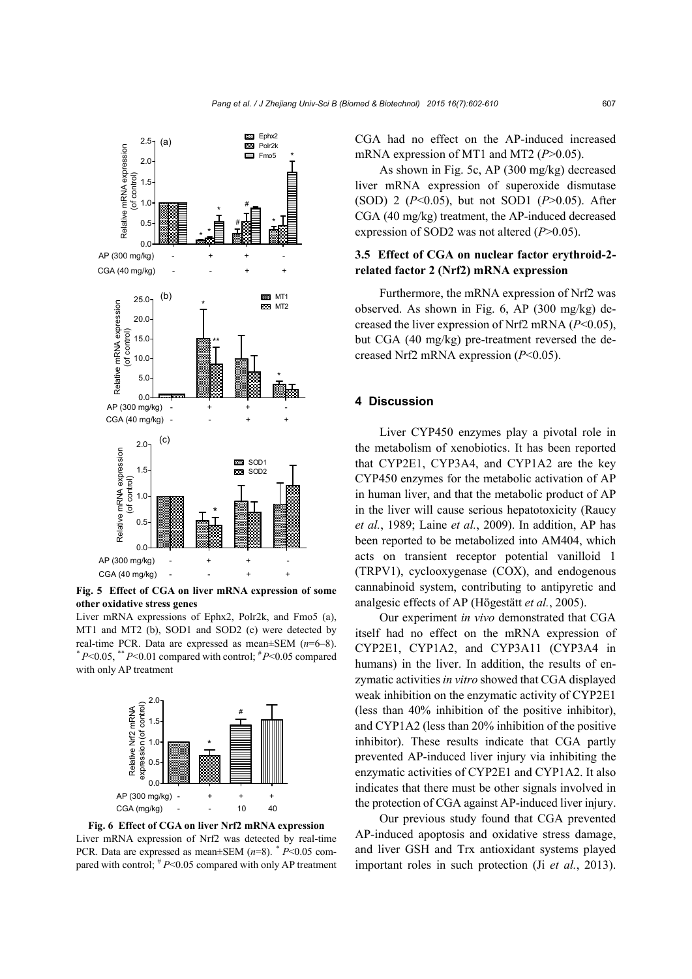

**Fig. 5 Effect of CGA on liver mRNA expression of some other oxidative stress genes** 

Liver mRNA expressions of Ephx2, Polr2k, and Fmo5 (a), MT1 and MT2 (b), SOD1 and SOD2 (c) were detected by real-time PCR. Data are expressed as mean±SEM (*n*=6–8).  $*P<0.05$ ,  $*$  *P*<0.01 compared with control;  $*P<0.05$  compared with only AP treatment



**Fig. 6 Effect of CGA on liver Nrf2 mRNA expression**  Liver mRNA expression of Nrf2 was detected by real-time PCR. Data are expressed as mean±SEM (*n*=8). *\* P*<0.05 compared with control;  $^{\#}P \le 0.05$  compared with only AP treatment

CGA had no effect on the AP-induced increased mRNA expression of MT1 and MT2 (*P*>0.05).

As shown in Fig. 5c, AP (300 mg/kg) decreased liver mRNA expression of superoxide dismutase (SOD) 2 (*P*<0.05), but not SOD1 (*P*>0.05). After CGA (40 mg/kg) treatment, the AP-induced decreased expression of SOD2 was not altered (*P*>0.05).

### **3.5 Effect of CGA on nuclear factor erythroid-2 related factor 2 (Nrf2) mRNA expression**

Furthermore, the mRNA expression of Nrf2 was observed. As shown in Fig. 6, AP (300 mg/kg) decreased the liver expression of Nrf2 mRNA (*P*<0.05), but CGA (40 mg/kg) pre-treatment reversed the decreased Nrf2 mRNA expression (*P*<0.05).

### **4 Discussion**

Liver CYP450 enzymes play a pivotal role in the metabolism of xenobiotics. It has been reported that CYP2E1, CYP3A4, and CYP1A2 are the key CYP450 enzymes for the metabolic activation of AP in human liver, and that the metabolic product of AP in the liver will cause serious hepatotoxicity (Raucy *et al.*, 1989; Laine *et al.*, 2009). In addition, AP has been reported to be metabolized into AM404, which acts on transient receptor potential vanilloid 1 (TRPV1), cyclooxygenase (COX), and endogenous cannabinoid system, contributing to antipyretic and analgesic effects of AP (Högestätt *et al.*, 2005).

Our experiment *in vivo* demonstrated that CGA itself had no effect on the mRNA expression of CYP2E1, CYP1A2, and CYP3A11 (CYP3A4 in humans) in the liver. In addition, the results of enzymatic activities *in vitro* showed that CGA displayed weak inhibition on the enzymatic activity of CYP2E1 (less than 40% inhibition of the positive inhibitor), and CYP1A2 (less than 20% inhibition of the positive inhibitor). These results indicate that CGA partly prevented AP-induced liver injury via inhibiting the enzymatic activities of CYP2E1 and CYP1A2. It also indicates that there must be other signals involved in the protection of CGA against AP-induced liver injury.

Our previous study found that CGA prevented AP-induced apoptosis and oxidative stress damage, and liver GSH and Trx antioxidant systems played important roles in such protection (Ji *et al.*, 2013).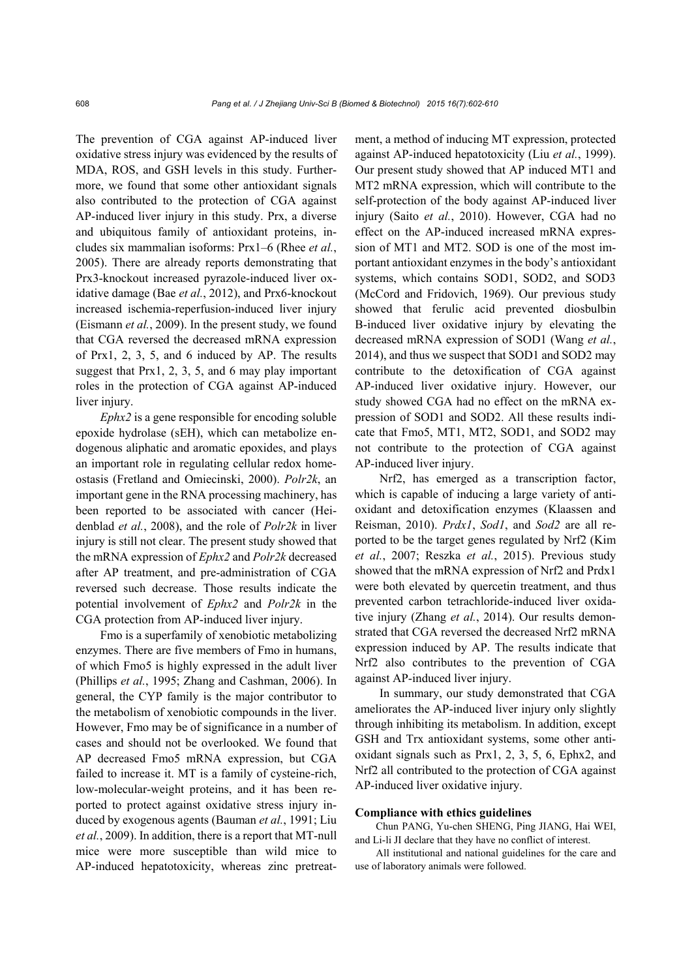The prevention of CGA against AP-induced liver oxidative stress injury was evidenced by the results of MDA, ROS, and GSH levels in this study. Furthermore, we found that some other antioxidant signals also contributed to the protection of CGA against AP-induced liver injury in this study. Prx, a diverse and ubiquitous family of antioxidant proteins, includes six mammalian isoforms: Prx1–6 (Rhee *et al.*, 2005). There are already reports demonstrating that Prx3-knockout increased pyrazole-induced liver oxidative damage (Bae *et al.*, 2012), and Prx6-knockout increased ischemia-reperfusion-induced liver injury (Eismann *et al.*, 2009). In the present study, we found that CGA reversed the decreased mRNA expression of Prx1, 2, 3, 5, and 6 induced by AP. The results suggest that Prx1, 2, 3, 5, and 6 may play important roles in the protection of CGA against AP-induced liver injury.

*Ephx2* is a gene responsible for encoding soluble epoxide hydrolase (sEH), which can metabolize endogenous aliphatic and aromatic epoxides, and plays an important role in regulating cellular redox homeostasis (Fretland and Omiecinski, 2000). *Polr2k*, an important gene in the RNA processing machinery, has been reported to be associated with cancer (Heidenblad *et al.*, 2008), and the role of *Polr2k* in liver injury is still not clear. The present study showed that the mRNA expression of *Ephx2* and *Polr2k* decreased after AP treatment, and pre-administration of CGA reversed such decrease. Those results indicate the potential involvement of *Ephx2* and *Polr2k* in the CGA protection from AP-induced liver injury.

Fmo is a superfamily of xenobiotic metabolizing enzymes. There are five members of Fmo in humans, of which Fmo5 is highly expressed in the adult liver (Phillips *et al.*, 1995; Zhang and Cashman, 2006). In general, the CYP family is the major contributor to the metabolism of xenobiotic compounds in the liver. However, Fmo may be of significance in a number of cases and should not be overlooked. We found that AP decreased Fmo5 mRNA expression, but CGA failed to increase it. MT is a family of cysteine-rich, low-molecular-weight proteins, and it has been reported to protect against oxidative stress injury induced by exogenous agents (Bauman *et al.*, 1991; Liu *et al.*, 2009). In addition, there is a report that MT-null mice were more susceptible than wild mice to AP-induced hepatotoxicity, whereas zinc pretreatment, a method of inducing MT expression, protected against AP-induced hepatotoxicity (Liu *et al.*, 1999). Our present study showed that AP induced MT1 and MT2 mRNA expression, which will contribute to the self-protection of the body against AP-induced liver injury (Saito *et al.*, 2010). However, CGA had no effect on the AP-induced increased mRNA expression of MT1 and MT2. SOD is one of the most important antioxidant enzymes in the body's antioxidant systems, which contains SOD1, SOD2, and SOD3 (McCord and Fridovich, 1969). Our previous study showed that ferulic acid prevented diosbulbin B-induced liver oxidative injury by elevating the decreased mRNA expression of SOD1 (Wang *et al.*, 2014), and thus we suspect that SOD1 and SOD2 may contribute to the detoxification of CGA against AP-induced liver oxidative injury. However, our study showed CGA had no effect on the mRNA expression of SOD1 and SOD2. All these results indicate that Fmo5, MT1, MT2, SOD1, and SOD2 may not contribute to the protection of CGA against AP-induced liver injury.

Nrf2, has emerged as a transcription factor, which is capable of inducing a large variety of antioxidant and detoxification enzymes (Klaassen and Reisman, 2010). *Prdx1*, *Sod1*, and *Sod2* are all reported to be the target genes regulated by Nrf2 (Kim *et al.*, 2007; Reszka *et al.*, 2015). Previous study showed that the mRNA expression of Nrf2 and Prdx1 were both elevated by quercetin treatment, and thus prevented carbon tetrachloride-induced liver oxidative injury (Zhang *et al.*, 2014). Our results demonstrated that CGA reversed the decreased Nrf2 mRNA expression induced by AP. The results indicate that Nrf2 also contributes to the prevention of CGA against AP-induced liver injury.

In summary, our study demonstrated that CGA ameliorates the AP-induced liver injury only slightly through inhibiting its metabolism. In addition, except GSH and Trx antioxidant systems, some other antioxidant signals such as Prx1, 2, 3, 5, 6, Ephx2, and Nrf2 all contributed to the protection of CGA against AP-induced liver oxidative injury.

#### **Compliance with ethics guidelines**

Chun PANG, Yu-chen SHENG, Ping JIANG, Hai WEI, and Li-li JI declare that they have no conflict of interest.

All institutional and national guidelines for the care and use of laboratory animals were followed.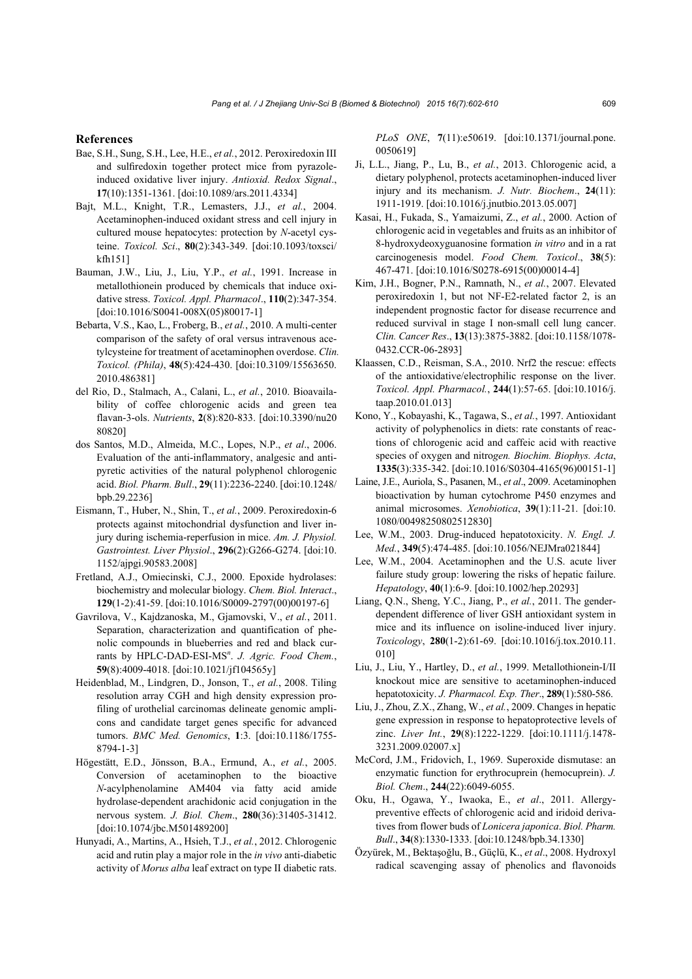#### **References**

- Bae, S.H., Sung, S.H., Lee, H.E., *et al.*, 2012. Peroxiredoxin III and sulfiredoxin together protect mice from pyrazoleinduced oxidative liver injury. *Antioxid. Redox Signal*., **17**(10):1351-1361. [doi:10.1089/ars.2011.4334]
- Bajt, M.L., Knight, T.R., Lemasters, J.J., *et al.*, 2004. Acetaminophen-induced oxidant stress and cell injury in cultured mouse hepatocytes: protection by *N*-acetyl cysteine. *Toxicol. Sci*., **80**(2):343-349. [doi:10.1093/toxsci/ kfh151]
- Bauman, J.W., Liu, J., Liu, Y.P., *et al.*, 1991. Increase in metallothionein produced by chemicals that induce oxidative stress. *Toxicol. Appl. Pharmacol*., **110**(2):347-354. [doi:10.1016/S0041-008X(05)80017-1]
- Bebarta, V.S., Kao, L., Froberg, B., *et al.*, 2010. A multi-center comparison of the safety of oral versus intravenous acetylcysteine for treatment of acetaminophen overdose. *Clin. Toxicol. (Phila)*, **48**(5):424-430. [doi:10.3109/15563650. 2010.486381]
- del Rio, D., Stalmach, A., Calani, L., *et al.*, 2010. Bioavailability of coffee chlorogenic acids and green tea flavan-3-ols. *Nutrients*, **2**(8):820-833. [doi:10.3390/nu20 80820]
- dos Santos, M.D., Almeida, M.C., Lopes, N.P., *et al*., 2006. Evaluation of the anti-inflammatory, analgesic and antipyretic activities of the natural polyphenol chlorogenic acid. *Biol. Pharm. Bull*., **29**(11):2236-2240. [doi:10.1248/ bpb.29.2236]
- Eismann, T., Huber, N., Shin, T., *et al.*, 2009. Peroxiredoxin-6 protects against mitochondrial dysfunction and liver injury during ischemia-reperfusion in mice. *Am. J. Physiol. Gastrointest. Liver Physiol*., **296**(2):G266-G274. [doi:10. 1152/ajpgi.90583.2008]
- Fretland, A.J., Omiecinski, C.J., 2000. Epoxide hydrolases: biochemistry and molecular biology. *Chem. Biol. Interact*., **129**(1-2):41-59. [doi:10.1016/S0009-2797(00)00197-6]
- Gavrilova, V., Kajdzanoska, M., Gjamovski, V., *et al.*, 2011. Separation, characterization and quantification of phenolic compounds in blueberries and red and black currants by HPLC-DAD-ESI-MS*<sup>n</sup>* . *J. Agric. Food Chem.*, **59**(8):4009-4018. [doi:10.1021/jf104565y]
- Heidenblad, M., Lindgren, D., Jonson, T., *et al.*, 2008. Tiling resolution array CGH and high density expression profiling of urothelial carcinomas delineate genomic amplicons and candidate target genes specific for advanced tumors. *BMC Med. Genomics*, **1**:3. [doi:10.1186/1755- 8794-1-3]
- Högestätt, E.D., Jönsson, B.A., Ermund, A., *et al.*, 2005. Conversion of acetaminophen to the bioactive *N*-acylphenolamine AM404 via fatty acid amide hydrolase-dependent arachidonic acid conjugation in the nervous system. *J. Biol. Chem*., **280**(36):31405-31412. [doi:10.1074/jbc.M501489200]
- Hunyadi, A., Martins, A., Hsieh, T.J., *et al.*, 2012. Chlorogenic acid and rutin play a major role in the *in vivo* anti-diabetic activity of *Morus alba* leaf extract on type II diabetic rats.

*PLoS ONE*, **7**(11):e50619. [doi:10.1371/journal.pone. 0050619]

- Ji, L.L., Jiang, P., Lu, B., *et al.*, 2013. Chlorogenic acid, a dietary polyphenol, protects acetaminophen-induced liver injury and its mechanism. *J. Nutr. Biochem*., **24**(11): 1911-1919. [doi:10.1016/j.jnutbio.2013.05.007]
- Kasai, H., Fukada, S., Yamaizumi, Z., *et al.*, 2000. Action of chlorogenic acid in vegetables and fruits as an inhibitor of 8-hydroxydeoxyguanosine formation *in vitro* and in a rat carcinogenesis model. *Food Chem. Toxicol*., **38**(5): 467-471. [doi:10.1016/S0278-6915(00)00014-4]
- Kim, J.H., Bogner, P.N., Ramnath, N., *et al.*, 2007. Elevated peroxiredoxin 1, but not NF-E2-related factor 2, is an independent prognostic factor for disease recurrence and reduced survival in stage I non-small cell lung cancer. *Clin. Cancer Res*., **13**(13):3875-3882. [doi:10.1158/1078- 0432.CCR-06-2893]
- Klaassen, C.D., Reisman, S.A., 2010. Nrf2 the rescue: effects of the antioxidative/electrophilic response on the liver. *Toxicol. Appl. Pharmacol.*, **244**(1):57-65. [doi:10.1016/j. taap.2010.01.013]
- Kono, Y., Kobayashi, K., Tagawa, S., *et al.*, 1997. Antioxidant activity of polyphenolics in diets: rate constants of reactions of chlorogenic acid and caffeic acid with reactive species of oxygen and nitro*gen. Biochim. Biophys. Acta*, **1335**(3):335-342. [doi:10.1016/S0304-4165(96)00151-1]
- Laine, J.E., Auriola, S., Pasanen, M., *et al*., 2009. Acetaminophen bioactivation by human cytochrome P450 enzymes and animal microsomes. *Xenobiotica*, **39**(1):11-21. [doi:10. 1080/00498250802512830]
- Lee, W.M., 2003. Drug-induced hepatotoxicity. *N. Engl. J. Med.*, **349**(5):474-485. [doi:10.1056/NEJMra021844]
- Lee, W.M., 2004. Acetaminophen and the U.S. acute liver failure study group: lowering the risks of hepatic failure. *Hepatology*, **40**(1):6-9. [doi:10.1002/hep.20293]
- Liang, Q.N., Sheng, Y.C., Jiang, P., *et al.*, 2011. The genderdependent difference of liver GSH antioxidant system in mice and its influence on isoline-induced liver injury. *Toxicology*, **280**(1-2):61-69. [doi:10.1016/j.tox.2010.11. 010]
- Liu, J., Liu, Y., Hartley, D., *et al.*, 1999. Metallothionein-I/II knockout mice are sensitive to acetaminophen-induced hepatotoxicity. *J. Pharmacol. Exp. Ther*., **289**(1):580-586.
- Liu, J., Zhou, Z.X., Zhang, W., *et al.*, 2009. Changes in hepatic gene expression in response to hepatoprotective levels of zinc. *Liver Int.*, **29**(8):1222-1229. [doi:10.1111/j.1478- 3231.2009.02007.x]
- McCord, J.M., Fridovich, I., 1969. Superoxide dismutase: an enzymatic function for erythrocuprein (hemocuprein). *J. Biol. Chem*., **244**(22):6049-6055.
- Oku, H., Ogawa, Y., Iwaoka, E., *et al*., 2011. Allergypreventive effects of chlorogenic acid and iridoid derivatives from flower buds of *Lonicera japonica*. *Biol. Pharm. Bull*., **34**(8):1330-1333. [doi:10.1248/bpb.34.1330]
- Özyürek, M., Bektaşoğlu, B., Güçlü, K., *et al*., 2008. Hydroxyl radical scavenging assay of phenolics and flavonoids